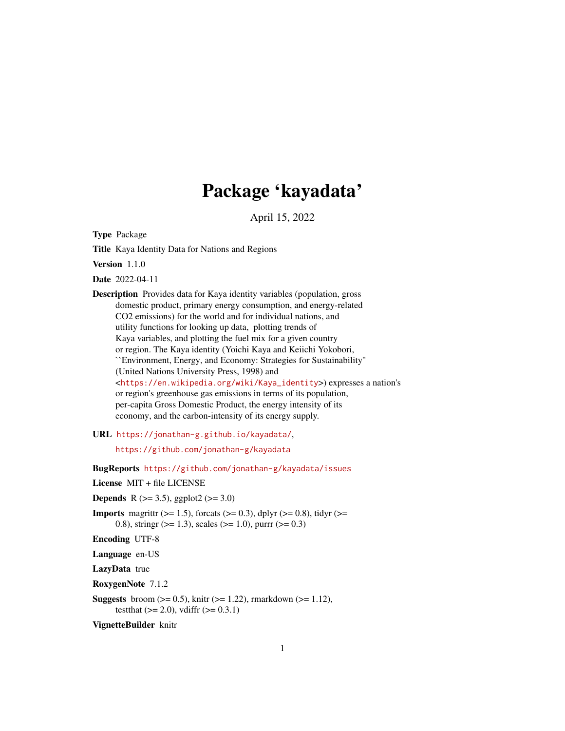# Package 'kayadata'

April 15, 2022

Type Package

Title Kaya Identity Data for Nations and Regions

Version 1.1.0

Date 2022-04-11

Description Provides data for Kaya identity variables (population, gross domestic product, primary energy consumption, and energy-related CO2 emissions) for the world and for individual nations, and utility functions for looking up data, plotting trends of Kaya variables, and plotting the fuel mix for a given country or region. The Kaya identity (Yoichi Kaya and Keiichi Yokobori, ``Environment, Energy, and Economy: Strategies for Sustainability'' (United Nations University Press, 1998) and <[https://en.wikipedia.org/wiki/Kaya\\_identity](https://en.wikipedia.org/wiki/Kaya_identity)>) expresses a nation's or region's greenhouse gas emissions in terms of its population, per-capita Gross Domestic Product, the energy intensity of its economy, and the carbon-intensity of its energy supply.

URL <https://jonathan-g.github.io/kayadata/>,

<https://github.com/jonathan-g/kayadata>

BugReports <https://github.com/jonathan-g/kayadata/issues>

License MIT + file LICENSE

**Depends** R ( $>= 3.5$ ), ggplot2 ( $>= 3.0$ )

**Imports** magnittr ( $>= 1.5$ ), forcats ( $>= 0.3$ ), dplyr ( $>= 0.8$ ), tidyr ( $>= 1.5$ ) 0.8), stringr ( $> = 1.3$ ), scales ( $> = 1.0$ ), purrr ( $> = 0.3$ )

Encoding UTF-8

Language en-US

LazyData true

RoxygenNote 7.1.2

**Suggests** broom  $(>= 0.5)$ , knitr  $(>= 1.22)$ , rmarkdown  $(>= 1.12)$ , testthat  $(>= 2.0)$ , vdiffr  $(>= 0.3.1)$ 

VignetteBuilder knitr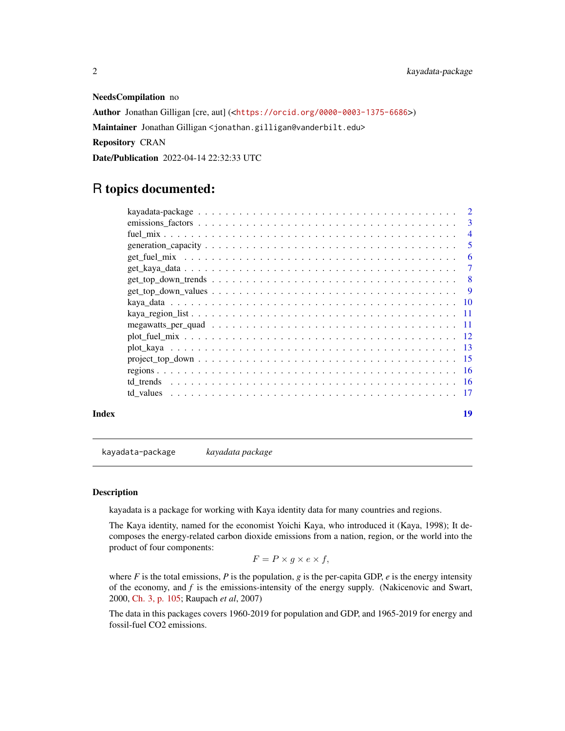#### NeedsCompilation no

Author Jonathan Gilligan [cre, aut] (<<https://orcid.org/0000-0003-1375-6686>>) Maintainer Jonathan Gilligan <jonathan.gilligan@vanderbilt.edu> Repository CRAN Date/Publication 2022-04-14 22:32:33 UTC

## R topics documented:

|       |                                                                                                              | $\overline{4}$ |
|-------|--------------------------------------------------------------------------------------------------------------|----------------|
|       |                                                                                                              | - 5            |
|       |                                                                                                              | -6             |
|       |                                                                                                              |                |
|       | $get\_top\_down\_trends \dots \dots \dots \dots \dots \dots \dots \dots \dots \dots \dots \dots \dots \dots$ |                |
|       |                                                                                                              |                |
|       |                                                                                                              |                |
|       |                                                                                                              |                |
|       |                                                                                                              |                |
|       |                                                                                                              |                |
|       |                                                                                                              |                |
|       |                                                                                                              |                |
|       |                                                                                                              |                |
|       |                                                                                                              |                |
|       |                                                                                                              |                |
| Index |                                                                                                              | 19             |

kayadata-package *kayadata package*

#### Description

kayadata is a package for working with Kaya identity data for many countries and regions.

The Kaya identity, named for the economist Yoichi Kaya, who introduced it (Kaya, 1998); It decomposes the energy-related carbon dioxide emissions from a nation, region, or the world into the product of four components:

$$
F = P \times g \times e \times f,
$$

where  $F$  is the total emissions,  $P$  is the population,  $g$  is the per-capita GDP,  $e$  is the energy intensity of the economy, and *f* is the emissions-intensity of the energy supply. (Nakicenovic and Swart, 2000, [Ch. 3, p. 105;](https://www.ipcc.ch/report/emissions-scenarios/) Raupach *et al*, 2007)

The data in this packages covers 1960-2019 for population and GDP, and 1965-2019 for energy and fossil-fuel CO2 emissions.

<span id="page-1-0"></span>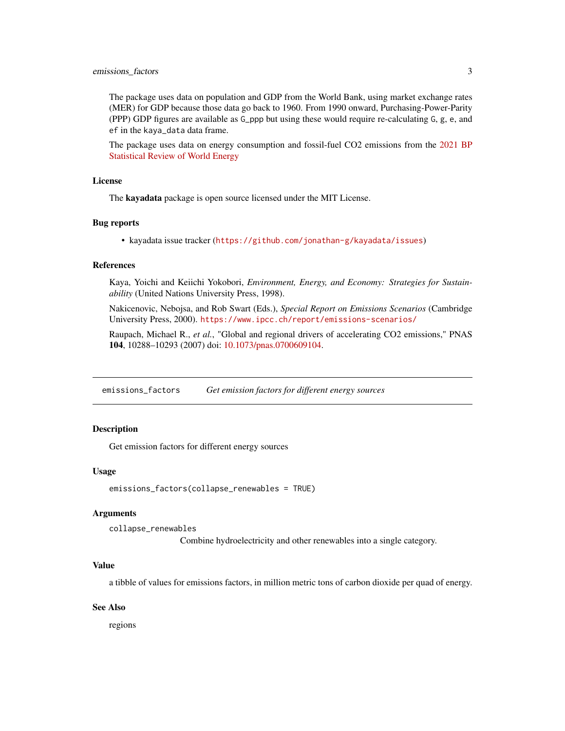#### <span id="page-2-0"></span>emissions\_factors 3

The package uses data on population and GDP from the World Bank, using market exchange rates (MER) for GDP because those data go back to 1960. From 1990 onward, Purchasing-Power-Parity (PPP) GDP figures are available as G\_ppp but using these would require re-calculating G, g, e, and ef in the kaya\_data data frame.

The package uses data on energy consumption and fossil-fuel CO2 emissions from the [2021 BP](https://www.bp.com/en/global/corporate/energy-economics/statistical-review-of-world-energy.html) [Statistical Review of World Energy](https://www.bp.com/en/global/corporate/energy-economics/statistical-review-of-world-energy.html)

#### License

The kayadata package is open source licensed under the MIT License.

#### Bug reports

• kayadata issue tracker (<https://github.com/jonathan-g/kayadata/issues>)

#### References

Kaya, Yoichi and Keiichi Yokobori, *Environment, Energy, and Economy: Strategies for Sustainability* (United Nations University Press, 1998).

Nakicenovic, Nebojsa, and Rob Swart (Eds.), *Special Report on Emissions Scenarios* (Cambridge University Press, 2000). <https://www.ipcc.ch/report/emissions-scenarios/>

Raupach, Michael R., *et al.*, "Global and regional drivers of accelerating CO2 emissions," PNAS 104, 10288–10293 (2007) doi: [10.1073/pnas.0700609104.](https://doi.org/10.1073/pnas.0700609104)

emissions\_factors *Get emission factors for different energy sources*

#### Description

Get emission factors for different energy sources

#### Usage

emissions\_factors(collapse\_renewables = TRUE)

#### Arguments

collapse\_renewables

Combine hydroelectricity and other renewables into a single category.

#### Value

a tibble of values for emissions factors, in million metric tons of carbon dioxide per quad of energy.

#### See Also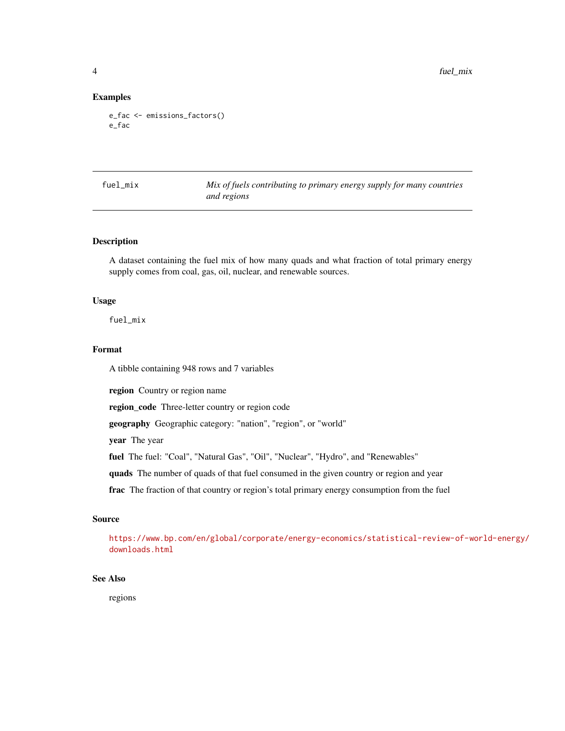<span id="page-3-0"></span>4 fuel\_mix

#### Examples

```
e_fac <- emissions_factors()
e_fac
```
fuel\_mix *Mix of fuels contributing to primary energy supply for many countries and regions*

#### Description

A dataset containing the fuel mix of how many quads and what fraction of total primary energy supply comes from coal, gas, oil, nuclear, and renewable sources.

#### Usage

fuel\_mix

#### Format

A tibble containing 948 rows and 7 variables

region Country or region name

region\_code Three-letter country or region code

geography Geographic category: "nation", "region", or "world"

year The year

fuel The fuel: "Coal", "Natural Gas", "Oil", "Nuclear", "Hydro", and "Renewables"

quads The number of quads of that fuel consumed in the given country or region and year

frac The fraction of that country or region's total primary energy consumption from the fuel

#### Source

[https://www.bp.com/en/global/corporate/energy-economics/statistical-review-of-w](https://www.bp.com/en/global/corporate/energy-economics/statistical-review-of-world-energy/downloads.html)orld-energy/ [downloads.html](https://www.bp.com/en/global/corporate/energy-economics/statistical-review-of-world-energy/downloads.html)

#### See Also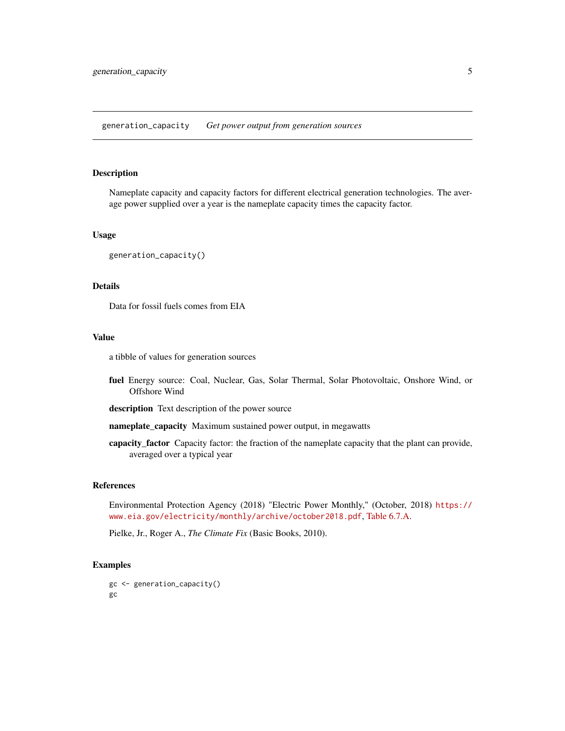<span id="page-4-0"></span>Nameplate capacity and capacity factors for different electrical generation technologies. The average power supplied over a year is the nameplate capacity times the capacity factor.

#### Usage

```
generation_capacity()
```
#### Details

Data for fossil fuels comes from EIA

#### Value

a tibble of values for generation sources

fuel Energy source: Coal, Nuclear, Gas, Solar Thermal, Solar Photovoltaic, Onshore Wind, or Offshore Wind

description Text description of the power source

nameplate\_capacity Maximum sustained power output, in megawatts

capacity\_factor Capacity factor: the fraction of the nameplate capacity that the plant can provide, averaged over a typical year

#### References

Environmental Protection Agency (2018) "Electric Power Monthly," (October, 2018) [https://](https://www.eia.gov/electricity/monthly/archive/october2018.pdf) [www.eia.gov/electricity/monthly/archive/october2018.pdf](https://www.eia.gov/electricity/monthly/archive/october2018.pdf), [Table 6.7.A.](https://www.eia.gov/electricity/monthly/epm_table_grapher.php?t=epmt_6_07_a)

Pielke, Jr., Roger A., *The Climate Fix* (Basic Books, 2010).

```
gc <- generation_capacity()
gc
```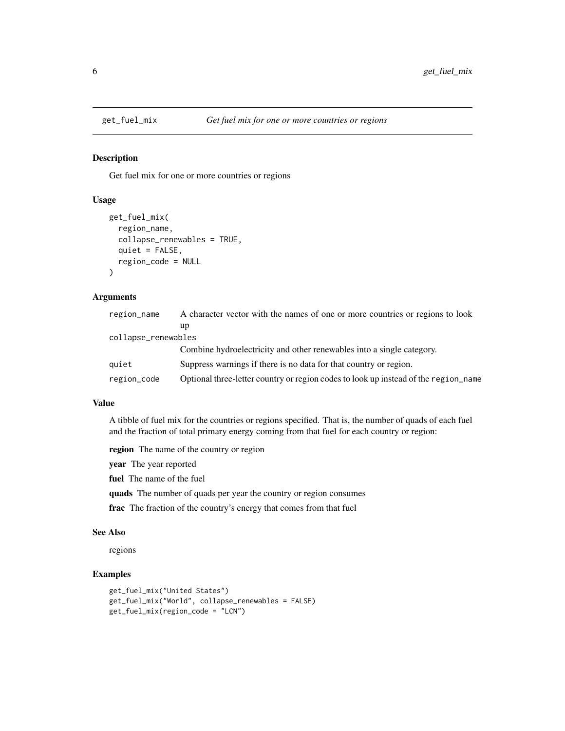Get fuel mix for one or more countries or regions

#### Usage

```
get_fuel_mix(
  region_name,
  collapse_renewables = TRUE,
  quiet = FALSE,
  region_code = NULL
\mathcal{L}
```
#### Arguments

| region_name         | A character vector with the names of one or more countries or regions to look       |
|---------------------|-------------------------------------------------------------------------------------|
|                     | up                                                                                  |
| collapse_renewables |                                                                                     |
|                     | Combine hydroelectricity and other renewables into a single category.               |
| quiet               | Suppress warnings if there is no data for that country or region.                   |
| region_code         | Optional three-letter country or region codes to look up instead of the region name |

#### Value

A tibble of fuel mix for the countries or regions specified. That is, the number of quads of each fuel and the fraction of total primary energy coming from that fuel for each country or region:

region The name of the country or region

year The year reported

fuel The name of the fuel

quads The number of quads per year the country or region consumes

frac The fraction of the country's energy that comes from that fuel

#### See Also

regions

```
get_fuel_mix("United States")
get_fuel_mix("World", collapse_renewables = FALSE)
get_fuel_mix(region_code = "LCN")
```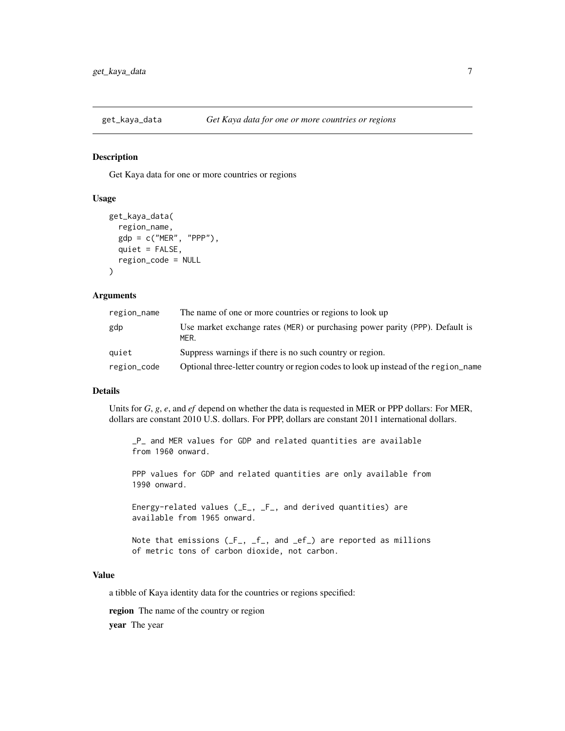<span id="page-6-0"></span>

Get Kaya data for one or more countries or regions

#### Usage

```
get_kaya_data(
  region_name,
  gdp = c("MER", "PPP"),
 quiet = FALSE,
 region_code = NULL
)
```
#### Arguments

| region_name | The name of one or more countries or regions to look up                              |
|-------------|--------------------------------------------------------------------------------------|
| gdp         | Use market exchange rates (MER) or purchasing power parity (PPP). Default is<br>MER. |
| quiet       | Suppress warnings if there is no such country or region.                             |
| region_code | Optional three-letter country or region codes to look up instead of the region_name  |

#### Details

Units for *G*, *g*, *e*, and *ef* depend on whether the data is requested in MER or PPP dollars: For MER, dollars are constant 2010 U.S. dollars. For PPP, dollars are constant 2011 international dollars.

\_P\_ and MER values for GDP and related quantities are available from 1960 onward.

PPP values for GDP and related quantities are only available from 1990 onward.

Energy-related values (\_E\_, \_F\_, and derived quantities) are available from 1965 onward.

Note that emissions  $(F_-, f_-, \text{and } \text{ef}_-)$  are reported as millions of metric tons of carbon dioxide, not carbon.

#### Value

a tibble of Kaya identity data for the countries or regions specified:

region The name of the country or region

year The year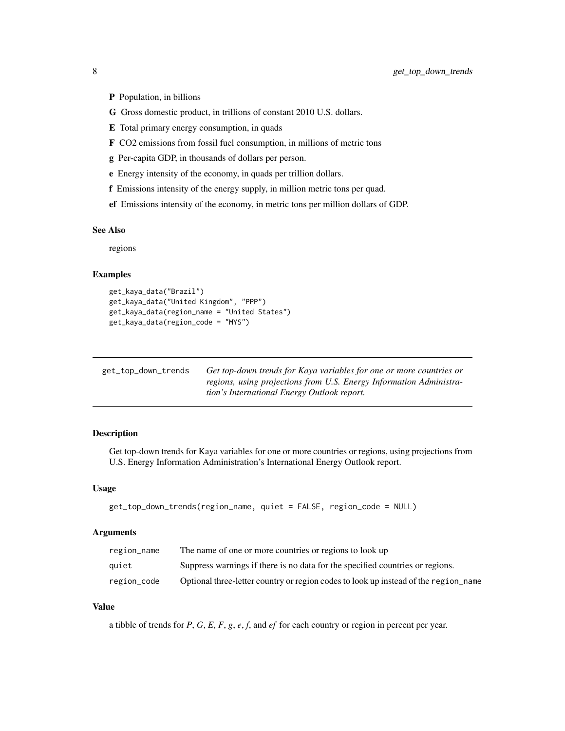- <span id="page-7-0"></span>P Population, in billions
- G Gross domestic product, in trillions of constant 2010 U.S. dollars.
- E Total primary energy consumption, in quads
- F CO2 emissions from fossil fuel consumption, in millions of metric tons
- g Per-capita GDP, in thousands of dollars per person.
- e Energy intensity of the economy, in quads per trillion dollars.
- f Emissions intensity of the energy supply, in million metric tons per quad.
- ef Emissions intensity of the economy, in metric tons per million dollars of GDP.

#### See Also

regions

#### Examples

```
get_kaya_data("Brazil")
get_kaya_data("United Kingdom", "PPP")
get_kaya_data(region_name = "United States")
get_kaya_data(region_code = "MYS")
```

| get_top_down_trends | Get top-down trends for Kaya variables for one or more countries or |
|---------------------|---------------------------------------------------------------------|
|                     | regions, using projections from U.S. Energy Information Administra- |
|                     | tion's International Energy Outlook report.                         |

#### Description

Get top-down trends for Kaya variables for one or more countries or regions, using projections from U.S. Energy Information Administration's International Energy Outlook report.

#### Usage

```
get_top_down_trends(region_name, quiet = FALSE, region_code = NULL)
```
#### Arguments

| region_name | The name of one or more countries or regions to look up                             |
|-------------|-------------------------------------------------------------------------------------|
| quiet       | Suppress warnings if there is no data for the specified countries or regions.       |
| region_code | Optional three-letter country or region codes to look up instead of the region_name |

#### Value

a tibble of trends for *P*, *G*, *E*, *F*, *g*, *e*, *f*, and *ef* for each country or region in percent per year.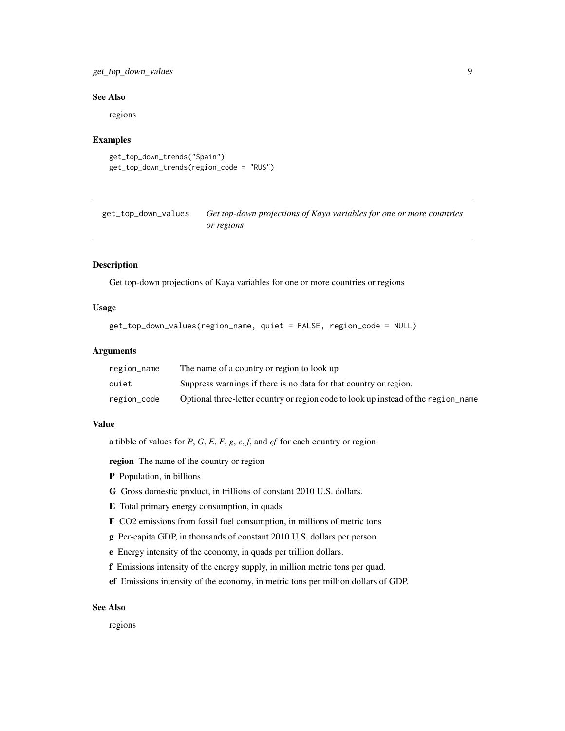#### <span id="page-8-0"></span>get\_top\_down\_values 9

#### See Also

regions

#### Examples

```
get_top_down_trends("Spain")
get_top_down_trends(region_code = "RUS")
```
get\_top\_down\_values *Get top-down projections of Kaya variables for one or more countries or regions*

#### Description

Get top-down projections of Kaya variables for one or more countries or regions

#### Usage

```
get_top_down_values(region_name, quiet = FALSE, region_code = NULL)
```
#### Arguments

| region_name | The name of a country or region to look up                                         |
|-------------|------------------------------------------------------------------------------------|
| auiet       | Suppress warnings if there is no data for that country or region.                  |
| region_code | Optional three-letter country or region code to look up instead of the region name |

#### Value

a tibble of values for *P*, *G*, *E*, *F*, *g*, *e*, *f*, and *ef* for each country or region:

region The name of the country or region

- P Population, in billions
- G Gross domestic product, in trillions of constant 2010 U.S. dollars.
- E Total primary energy consumption, in quads
- F CO2 emissions from fossil fuel consumption, in millions of metric tons
- g Per-capita GDP, in thousands of constant 2010 U.S. dollars per person.
- e Energy intensity of the economy, in quads per trillion dollars.
- f Emissions intensity of the energy supply, in million metric tons per quad.
- ef Emissions intensity of the economy, in metric tons per million dollars of GDP.

#### See Also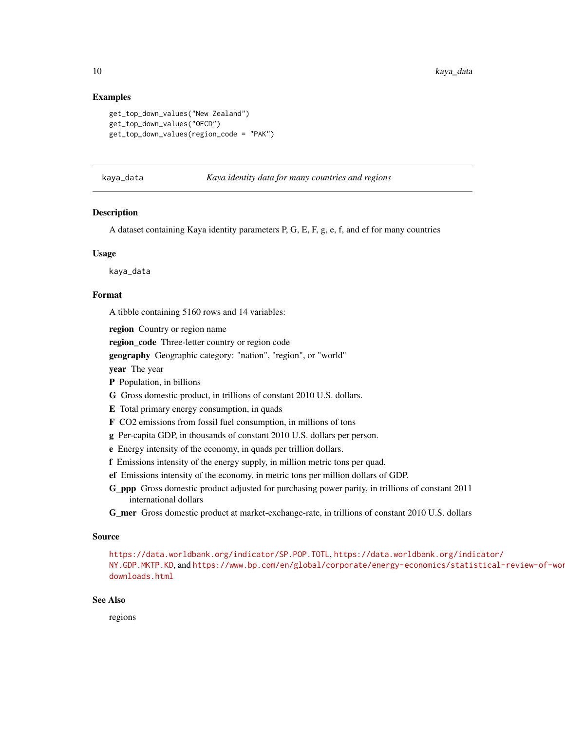#### Examples

```
get_top_down_values("New Zealand")
get_top_down_values("OECD")
get_top_down_values(region_code = "PAK")
```
kaya\_data *Kaya identity data for many countries and regions*

|  |  | Kava identity data for many countries and regions |  |
|--|--|---------------------------------------------------|--|
|  |  |                                                   |  |

#### Description

A dataset containing Kaya identity parameters P, G, E, F, g, e, f, and ef for many countries

#### Usage

kaya\_data

#### Format

A tibble containing 5160 rows and 14 variables:

region Country or region name

region\_code Three-letter country or region code

geography Geographic category: "nation", "region", or "world"

year The year

P Population, in billions

- G Gross domestic product, in trillions of constant 2010 U.S. dollars.
- E Total primary energy consumption, in quads
- F CO2 emissions from fossil fuel consumption, in millions of tons
- g Per-capita GDP, in thousands of constant 2010 U.S. dollars per person.
- e Energy intensity of the economy, in quads per trillion dollars.
- f Emissions intensity of the energy supply, in million metric tons per quad.
- ef Emissions intensity of the economy, in metric tons per million dollars of GDP.
- G\_ppp Gross domestic product adjusted for purchasing power parity, in trillions of constant 2011 international dollars
- G\_mer Gross domestic product at market-exchange-rate, in trillions of constant 2010 U.S. dollars

#### Source

<https://data.worldbank.org/indicator/SP.POP.TOTL>, [https://data.worldbank.org/indi](https://data.worldbank.org/indicator/NY.GDP.MKTP.KD)cator/ [NY.GDP.MKTP.KD](https://data.worldbank.org/indicator/NY.GDP.MKTP.KD), and [https://www.bp.com/en/global/corporate/energy-economics/stati](https://www.bp.com/en/global/corporate/energy-economics/statistical-review-of-world-energy/downloads.html)stical-review-of-wor [downloads.html](https://www.bp.com/en/global/corporate/energy-economics/statistical-review-of-world-energy/downloads.html)

#### See Also

<span id="page-9-0"></span>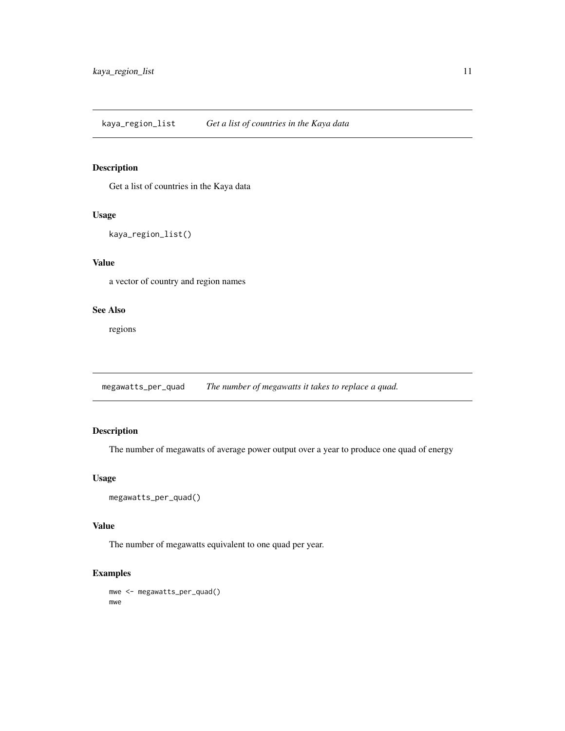<span id="page-10-0"></span>Get a list of countries in the Kaya data

#### Usage

```
kaya_region_list()
```
#### Value

a vector of country and region names

#### See Also

regions

megawatts\_per\_quad *The number of megawatts it takes to replace a quad.*

#### Description

The number of megawatts of average power output over a year to produce one quad of energy

#### Usage

```
megawatts_per_quad()
```
#### Value

The number of megawatts equivalent to one quad per year.

### Examples

mwe <- megawatts\_per\_quad() mwe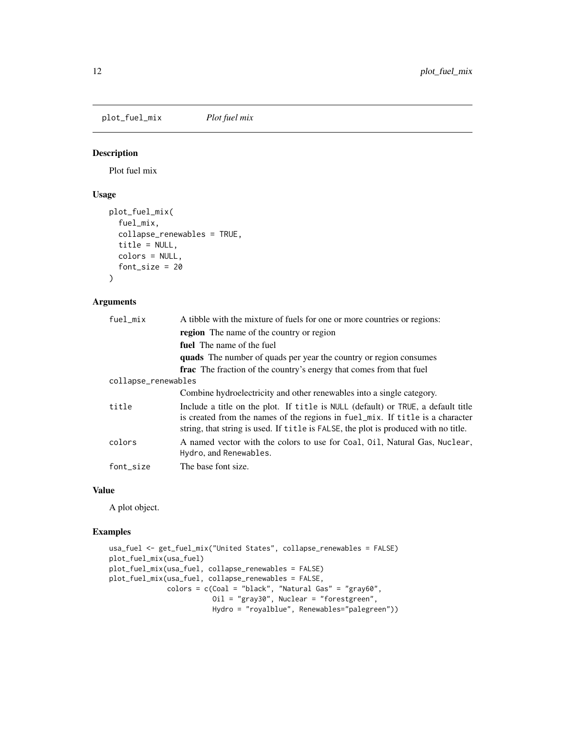<span id="page-11-0"></span>plot\_fuel\_mix *Plot fuel mix*

#### Description

Plot fuel mix

#### Usage

```
plot_fuel_mix(
  fuel_mix,
  collapse_renewables = TRUE,
  title = NULL,
  colors = NULL,
  font_size = 20
)
```
#### Arguments

| fuel_mix            | A tibble with the mixture of fuels for one or more countries or regions:                                                                                                                                                                                 |
|---------------------|----------------------------------------------------------------------------------------------------------------------------------------------------------------------------------------------------------------------------------------------------------|
|                     | <b>region</b> The name of the country or region                                                                                                                                                                                                          |
|                     | fuel The name of the fuel                                                                                                                                                                                                                                |
|                     | <b>quads</b> The number of quads per year the country or region consumes                                                                                                                                                                                 |
|                     | <b>frac</b> The fraction of the country's energy that comes from that fuel                                                                                                                                                                               |
| collapse_renewables |                                                                                                                                                                                                                                                          |
|                     | Combine hydroelectricity and other renewables into a single category.                                                                                                                                                                                    |
| title               | Include a title on the plot. If title is NULL (default) or TRUE, a default title<br>is created from the names of the regions in fuel_mix. If title is a character<br>string, that string is used. If title is FALSE, the plot is produced with no title. |
| colors              | A named vector with the colors to use for Coal, 011, Natural Gas, Nuclear,<br>Hydro, and Renewables.                                                                                                                                                     |
| font_size           | The base font size.                                                                                                                                                                                                                                      |

#### Value

A plot object.

```
usa_fuel <- get_fuel_mix("United States", collapse_renewables = FALSE)
plot_fuel_mix(usa_fuel)
plot_fuel_mix(usa_fuel, collapse_renewables = FALSE)
plot_fuel_mix(usa_fuel, collapse_renewables = FALSE,
              colors = c(Coal = "black", "Natural Gas" = "gray60",
                         Oil = "gray30", Nuclear = "forestgreen",
                        Hydro = "royalblue", Renewables="palegreen"))
```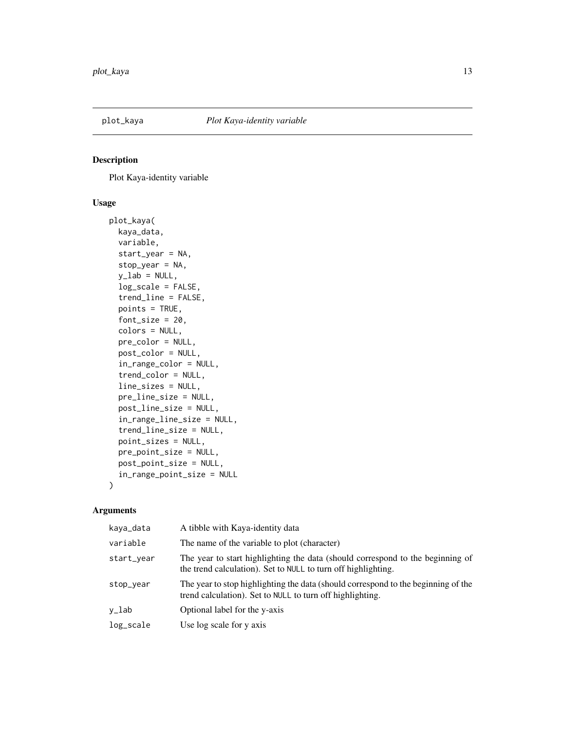<span id="page-12-0"></span>

Plot Kaya-identity variable

#### Usage

```
plot_kaya(
  kaya_data,
  variable,
  start_year = NA,
  stop_year = NA,
 y<sup>-</sup>lab = NULL,
  log_scale = FALSE,
  trend_line = FALSE,
  points = TRUE,
  font_size = 20,
  colors = NULL,
  pre_color = NULL,
  post_color = NULL,
  in_range_color = NULL,
  trend_color = NULL,
  line_sizes = NULL,
  pre_line_size = NULL,
  post_line_size = NULL,
  in_range_line_size = NULL,
  trend_line_size = NULL,
 point_sizes = NULL,
 pre_point_size = NULL,
 post_point_size = NULL,
  in_range_point_size = NULL
)
```
#### Arguments

| kaya_data  | A tibble with Kaya-identity data                                                                                                                |
|------------|-------------------------------------------------------------------------------------------------------------------------------------------------|
| variable   | The name of the variable to plot (character)                                                                                                    |
| start_year | The year to start highlighting the data (should correspond to the beginning of<br>the trend calculation). Set to NULL to turn off highlighting. |
| stop_year  | The year to stop highlighting the data (should correspond to the beginning of the<br>trend calculation). Set to NULL to turn off highlighting.  |
| y_lab      | Optional label for the y-axis                                                                                                                   |
| log_scale  | Use log scale for y axis                                                                                                                        |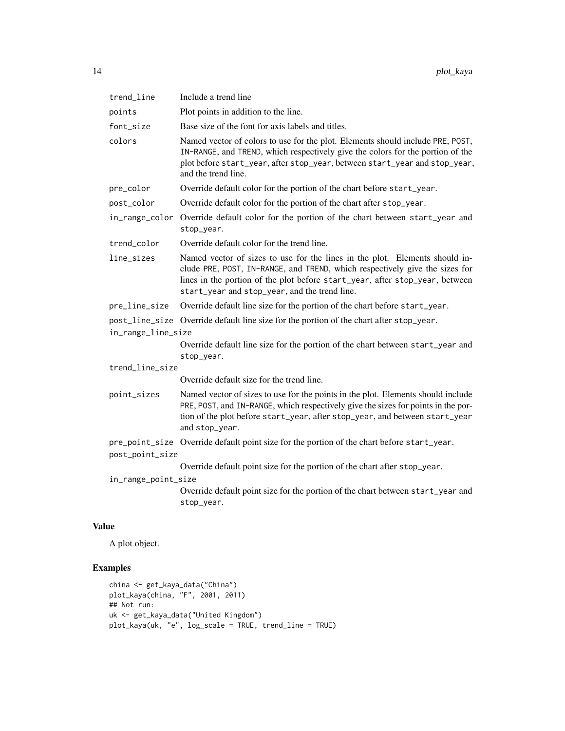| trend_line          | Include a trend line                                                                                                                                                                                                                                                                        |
|---------------------|---------------------------------------------------------------------------------------------------------------------------------------------------------------------------------------------------------------------------------------------------------------------------------------------|
| points              | Plot points in addition to the line.                                                                                                                                                                                                                                                        |
| font_size           | Base size of the font for axis labels and titles.                                                                                                                                                                                                                                           |
| colors              | Named vector of colors to use for the plot. Elements should include PRE, POST,<br>IN-RANGE, and TREND, which respectively give the colors for the portion of the<br>plot before start_year, after stop_year, between start_year and stop_year,<br>and the trend line.                       |
| pre_color           | Override default color for the portion of the chart before start_year.                                                                                                                                                                                                                      |
| post_color          | Override default color for the portion of the chart after stop_year.                                                                                                                                                                                                                        |
| in_range_color      | Override default color for the portion of the chart between start_year and<br>stop_year.                                                                                                                                                                                                    |
| trend_color         | Override default color for the trend line.                                                                                                                                                                                                                                                  |
| line_sizes          | Named vector of sizes to use for the lines in the plot. Elements should in-<br>clude PRE, POST, IN-RANGE, and TREND, which respectively give the sizes for<br>lines in the portion of the plot before start_year, after stop_year, between<br>start_year and stop_year, and the trend line. |
| pre_line_size       | Override default line size for the portion of the chart before start_year.                                                                                                                                                                                                                  |
|                     | post_line_size Override default line size for the portion of the chart after stop_year.                                                                                                                                                                                                     |
| in_range_line_size  |                                                                                                                                                                                                                                                                                             |
|                     | Override default line size for the portion of the chart between start_year and<br>stop_year.                                                                                                                                                                                                |
| trend_line_size     |                                                                                                                                                                                                                                                                                             |
|                     | Override default size for the trend line.                                                                                                                                                                                                                                                   |
| point_sizes         | Named vector of sizes to use for the points in the plot. Elements should include<br>PRE, POST, and IN-RANGE, which respectively give the sizes for points in the por-<br>tion of the plot before start_year, after stop_year, and between start_year<br>and stop_year.                      |
|                     | pre_point_size Override default point size for the portion of the chart before start_year.                                                                                                                                                                                                  |
| post_point_size     |                                                                                                                                                                                                                                                                                             |
|                     | Override default point size for the portion of the chart after stop_year.                                                                                                                                                                                                                   |
| in_range_point_size |                                                                                                                                                                                                                                                                                             |
|                     | Override default point size for the portion of the chart between start_year and<br>stop_year.                                                                                                                                                                                               |
|                     |                                                                                                                                                                                                                                                                                             |

### Value

A plot object.

```
china <- get_kaya_data("China")
plot_kaya(china, "F", 2001, 2011)
## Not run:
uk <- get_kaya_data("United Kingdom")
plot_kaya(uk, "e", log_scale = TRUE, trend_line = TRUE)
```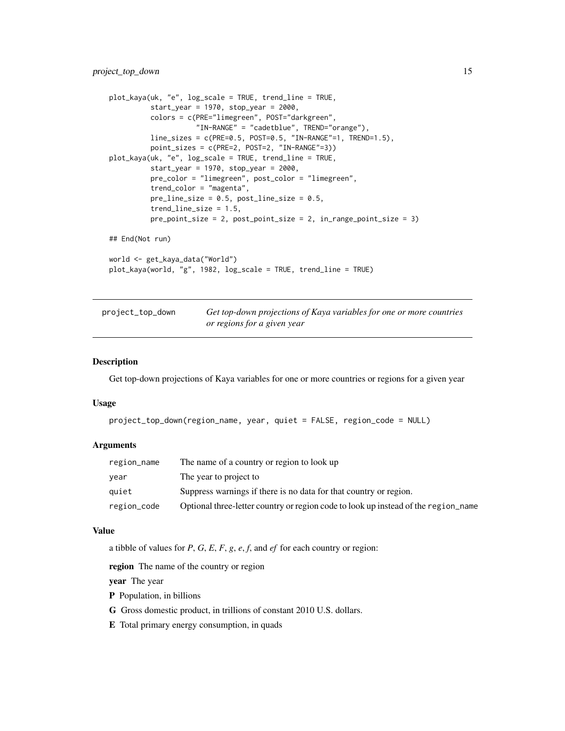#### <span id="page-14-0"></span>project\_top\_down 15

```
plot_kaya(uk, "e", log_scale = TRUE, trend_line = TRUE,
         start_year = 1970, stop_year = 2000,
         colors = c(PRE="limegreen", POST="darkgreen",
                     "IN-RANGE" = "cadetblue", TREND="orange"),
         line_sizes = c(PRE=0.5, POST=0.5, "IN-RANGE"=1, TREND=1.5),
         point_sizes = c(PRE=2, POST=2, "IN-RANGE"=3))
plot_kaya(uk, "e", log_scale = TRUE, trend_line = TRUE,
         start_year = 1970, stop_year = 2000,
         pre_color = "limegreen", post_color = "limegreen",
         trend_color = "magenta",
         pre_line_size = 0.5, post_line_size = 0.5,
         trend_line_size = 1.5,
         pre_point_size = 2, post_point_size = 2, in_range_point_size = 3)
## End(Not run)
world <- get_kaya_data("World")
plot_kaya(world, "g", 1982, log_scale = TRUE, trend_line = TRUE)
```

| project_top_down | Get top-down projections of Kaya variables for one or more countries |
|------------------|----------------------------------------------------------------------|
|                  | or regions for a given year                                          |

#### Description

Get top-down projections of Kaya variables for one or more countries or regions for a given year

#### Usage

```
project_top_down(region_name, year, quiet = FALSE, region_code = NULL)
```
#### Arguments

| region_name | The name of a country or region to look up                                         |
|-------------|------------------------------------------------------------------------------------|
| vear        | The year to project to                                                             |
| quiet       | Suppress warnings if there is no data for that country or region.                  |
| region_code | Optional three-letter country or region code to look up instead of the region name |

#### Value

a tibble of values for *P*, *G*, *E*, *F*, *g*, *e*, *f*, and *ef* for each country or region:

region The name of the country or region

year The year

- P Population, in billions
- G Gross domestic product, in trillions of constant 2010 U.S. dollars.
- E Total primary energy consumption, in quads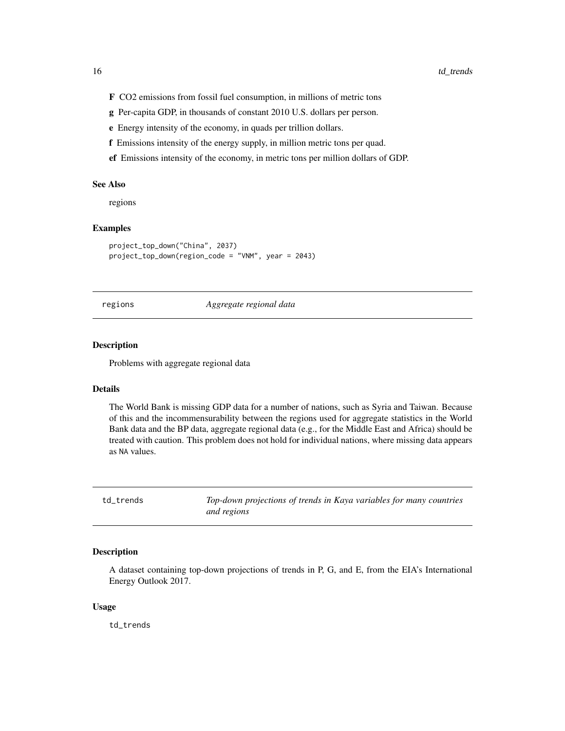- <span id="page-15-0"></span>F CO2 emissions from fossil fuel consumption, in millions of metric tons
- g Per-capita GDP, in thousands of constant 2010 U.S. dollars per person.
- e Energy intensity of the economy, in quads per trillion dollars.
- f Emissions intensity of the energy supply, in million metric tons per quad.
- ef Emissions intensity of the economy, in metric tons per million dollars of GDP.

#### See Also

regions

#### Examples

```
project_top_down("China", 2037)
project_top_down(region_code = "VNM", year = 2043)
```
#### regions *Aggregate regional data*

#### Description

Problems with aggregate regional data

#### Details

The World Bank is missing GDP data for a number of nations, such as Syria and Taiwan. Because of this and the incommensurability between the regions used for aggregate statistics in the World Bank data and the BP data, aggregate regional data (e.g., for the Middle East and Africa) should be treated with caution. This problem does not hold for individual nations, where missing data appears as NA values.

td\_trends *Top-down projections of trends in Kaya variables for many countries and regions*

#### Description

A dataset containing top-down projections of trends in P, G, and E, from the EIA's International Energy Outlook 2017.

#### Usage

td\_trends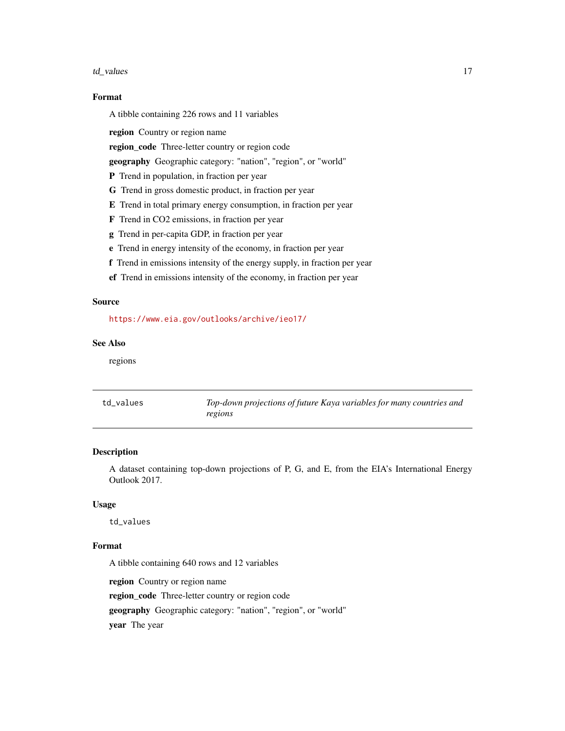#### <span id="page-16-0"></span>td\_values 17

#### Format

A tibble containing 226 rows and 11 variables

region Country or region name

region\_code Three-letter country or region code

geography Geographic category: "nation", "region", or "world"

- P Trend in population, in fraction per year
- G Trend in gross domestic product, in fraction per year
- E Trend in total primary energy consumption, in fraction per year
- F Trend in CO2 emissions, in fraction per year
- g Trend in per-capita GDP, in fraction per year
- e Trend in energy intensity of the economy, in fraction per year
- f Trend in emissions intensity of the energy supply, in fraction per year
- ef Trend in emissions intensity of the economy, in fraction per year

#### Source

#### <https://www.eia.gov/outlooks/archive/ieo17/>

#### See Also

regions

| td values | Top-down projections of future Kaya variables for many countries and |
|-----------|----------------------------------------------------------------------|
|           | regions                                                              |

#### Description

A dataset containing top-down projections of P, G, and E, from the EIA's International Energy Outlook 2017.

#### Usage

td\_values

#### Format

A tibble containing 640 rows and 12 variables region Country or region name region\_code Three-letter country or region code geography Geographic category: "nation", "region", or "world" year The year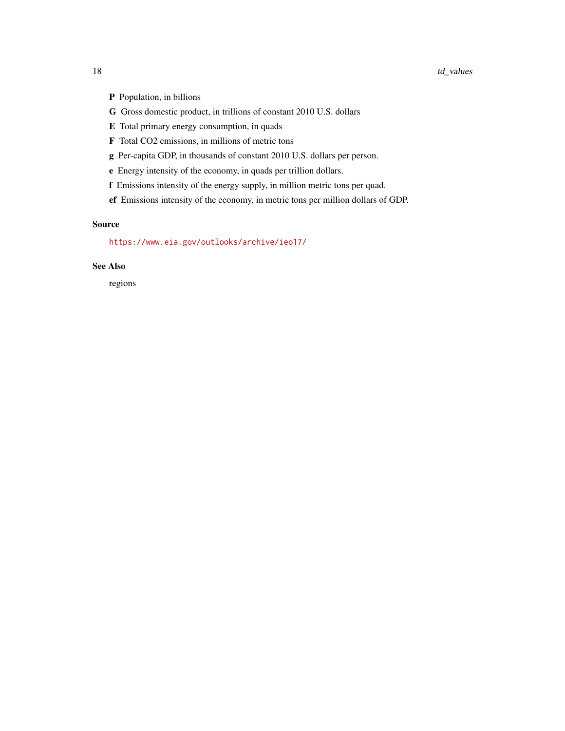- P Population, in billions
- G Gross domestic product, in trillions of constant 2010 U.S. dollars
- E Total primary energy consumption, in quads
- F Total CO2 emissions, in millions of metric tons
- g Per-capita GDP, in thousands of constant 2010 U.S. dollars per person.
- e Energy intensity of the economy, in quads per trillion dollars.
- f Emissions intensity of the energy supply, in million metric tons per quad.
- ef Emissions intensity of the economy, in metric tons per million dollars of GDP.

#### Source

<https://www.eia.gov/outlooks/archive/ieo17/>

#### See Also